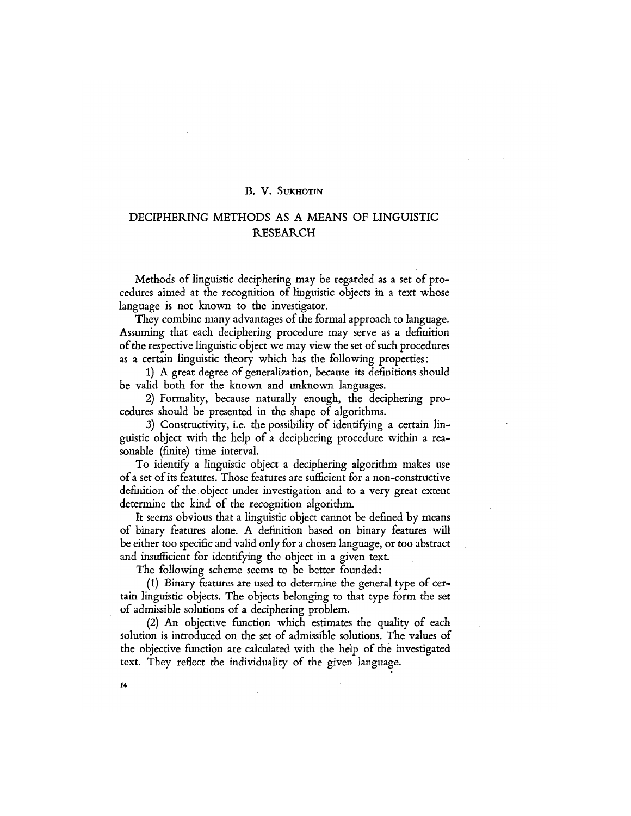## B. V. SUKHOTIN

## DECIPHERING METHODS AS A MEANS OF LINGUISTIC RESEARCH

Methods of linguistic deciphering may be regarded as a set of procedures aimed at the recognition of linguistic objects in a text whose language is not known to the investigator.

They combine many advantages of the formal approach to language. Assuming that each deciphering procedure may serve as a definition of the respective linguistic object we may view the set of such procedures as a certain linguistic theory which has the following properties:

1) A great degree of generalization, because its definitions should be valid both for the known and unknown languages.

2) Formality, because naturally enough, the deciphering procedures should be presented in the shape of algorithms.

3) Constructivity, i.e. the possibility of identifying a certain linguistic object with the help of a deciphering procedure within a reasonable (finite) time interval.

To identify a linguistic object a deciphering algorithm makes use of a set of its features. Those features are sufficient for a non-constructive definition of the object under investigation and to a very great extent determine the kind of the recognition algorithm.

It seems obvious that a linguistic object cannot be defined by means of binary features alone. A definition based on binary features will be either too specific and valid only for a chosen language, or too abstract and insufficient for identifying the object in a given text.

The following scheme seems to be better founded:

(1) Binary features are used to determine the general type of certain linguistic objects. The objects belonging to that type form the set of admissible solutions of a deciphering problem.

(2) An objective function which estimates the quality of each solution is introduced on the set of admissible solutions. The values of the objective function are calculated with the help of the investigated text. They reflect the individuality of the given language.

14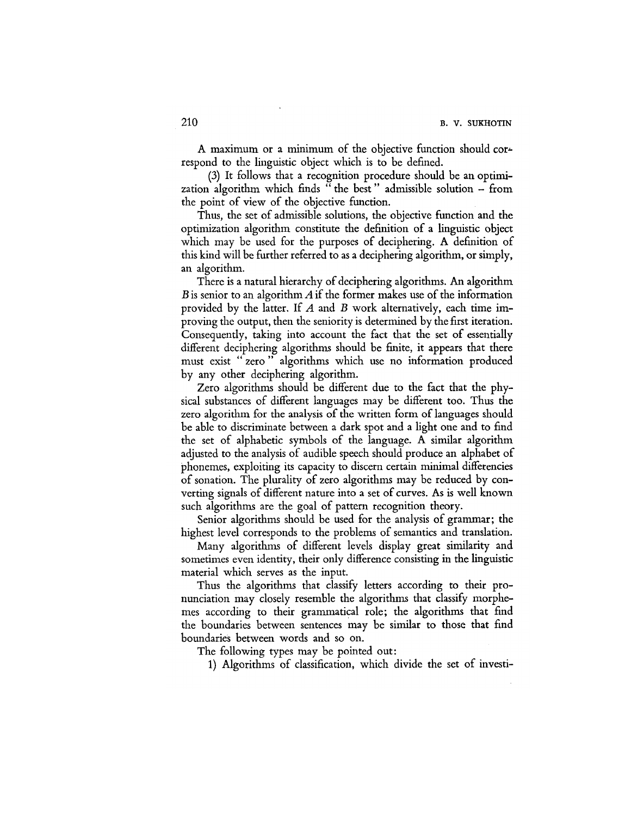A maximum or a minimum of the objective function should correspond to the linguistic object which is to be defined.

(3) It follows that a recognition procedure should be an optimization algorithm which finds "the best" admissible solution - from the point of view of the objective function.

Thus, the set of admissible solutions, the objective function and the optimization algorithm constitute the definition of a linguistic object which may be used for the purposes of deciphering. A definition of this kind will be further referred to as a deciphering algorithm, or simply, an algorithm.

There is a natural hierarchy of deciphering algorithms. An algorithm B is senior to an algorithm  $A$  if the former makes use of the information provided by the latter. If  $A$  and  $B$  work alternatively, each time improving the output, then the seniority is determined by the first iteration. Consequently, taking into account the fact that the set of essentially different deciphering algorithms should be finite, it appears that there must exist "zero " algorithms which use no information produced by any other deciphering algorithm.

Zero algorithms should be different due to the fact that the physical substances of different languages may be different too. Thus the zero algorithm for the analysis of the written form of languages should be able to discriminate between a dark spot and a light one and to find the set of alphabetic symbols of the language. A similar algorithm adjusted to the analysis of audible speech should produce an alphabet of phonemes, exploiting its capacity to discern certain minimal differencies of sonation. The plurality of zero algorithms may be reduced by converting signals of different nature into a set of curves. As is well known such algorithms are the goal of pattern recognition theory.

Senior algorithms should be used for the analysis of grammar; the highest level corresponds to the problems of semantics and translation.

Many algorithms of different levels display great similarity and sometimes even identity, their only difference consisting in the linguistic material which serves as the input.

Thus the algorithms that classify letters according to their pronunciation may closely resemble the algorithms that classify morphemes according to their grammatical role; the algorithms that find the boundaries between sentences may be similar to those that find boundaries between words and so on.

The following types may be pointed out:

1) Algorithms of classification, which divide the set of investi-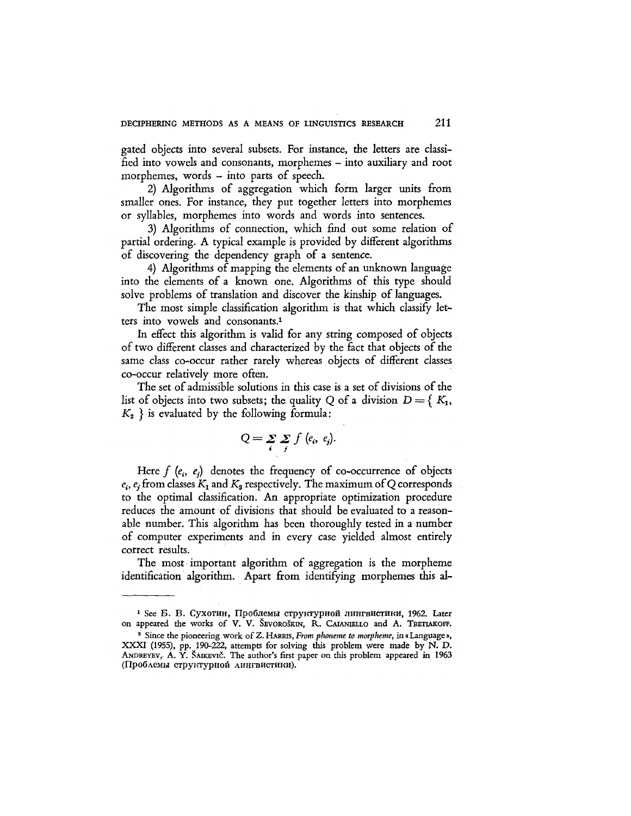gated objects into several subsets. For instance, the letters are classified into vowels and consonants, morphemes – into auxiliary and root morphemes, words - into parts of speech.

2) Algorithms of aggregation which form larger units from smaller ones. For instance, they put together letters into morphemes or syllables, morphemes into words and words into sentences.

3) Algorithms of connection, which find out some relation of partial ordering. A typical example is provided by different algorithms of discovering the dependency graph of a sentence.

4) Algorithms of mapping the dements of an unknown language into the dements of a known one. Algorithms of this type should solve problems of translation and discover the kinship of languages.

The most simple classification algorithm is that which classify letters into vowels and consonants.<sup>1</sup>

In effect this algorithm is valid for any string composed of objects of two different classes and characterized by the fact that objects of the same class co-occur rather rarely whereas objects of different classes co-occur rdatively more often.

The set of admissible solutions in this case is a set of divisions of the list of objects into two subsets; the quality Q of a division  $D = \{K_1,$  $K_2$  } is evaluated by the following formula:

$$
Q=\sum_i\sum_j f(e_i,e_j).
$$

Here  $f(e_i, e_j)$  denotes the frequency of co-occurrence of objects  $e_i$ ,  $e_j$  from classes  $K_1$  and  $K_2$  respectively. The maximum of Q corresponds to the optimal classification. An appropriate optimization procedure reduces the amount of divisions that should be evaluated to a reasonable number. This algorithm has been thoroughly tested in a number of computer experiments and in every case yielded almost entirely correct results.

The most important algorithm of aggregation is the morpheme identification algorithm. Apart from identifying morphemes this al-

<sup>&</sup>lt;sup>1</sup> See Б. В. Сухотин, Проблемы структурной лингвистики, 1962. Later on appeared the works of V. V. ŠEVOROŠKIN, R. CAIANIELLO and A. TRETIAKOFF.

<sup>&</sup>lt;sup>2</sup> Since the pioneering work of Z. HARRIS, *From phoneme to morpheme*, in « Language », XXXI (1955), pp. 190-222, attempts for solving this problem were made by N. D. ANDREYEV, A. Y. ŠAIKEVIČ. The author's first paper on this problem appeared in 1963 (Проблемы структурной лингвистики).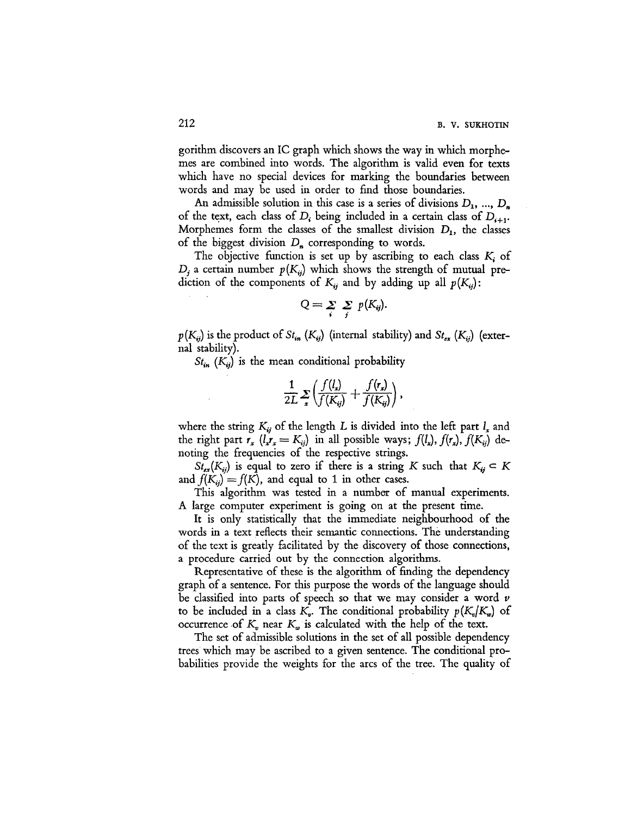gorithm discovers an IC graph which shows the way in which morphemes are combined into words. The algorithm is valid even for texts which have no special devices for marking the boundaries between words and may be used in order to find those boundaries.

An admissible solution in this case is a series of divisions  $D_1$ , ...,  $D_n$ of the text, each class of  $D_i$  being included in a certain class of  $D_{i+1}$ . Morphemes form the classes of the smallest division  $D_1$ , the classes of the biggest division  $D_n$  corresponding to words.

The objective function is set up by ascribing to each class  $K_i$  of  $D_i$  a certain number  $p(K_{ii})$  which shows the strength of mutual prediction of the components of  $K_{ij}$  and by adding up all  $p(K_{ij})$ :

$$
Q=\sum_{i}\sum_{j}p(K_{ij}).
$$

 $p(K_{ij})$  is the product of  $St_{in}$   $(K_{ij})$  (internal stability) and  $St_{ex}$   $(K_{ij})$  (external stability).

 $St_{in}$  ( $K_{ij}$ ) is the mean conditional probability

$$
\frac{1}{2L}\sum_{\mathbf{x}}\left(\frac{f(l_{\mathbf{x}})}{f(K_{\mathbf{y}})}+\frac{f(\mathbf{r}_{\mathbf{x}})}{f(K_{\mathbf{y}})}\right),\,
$$

where the string  $K_{ij}$  of the length L is divided into the left part  $l_x$  and the right part  $r_x$  ( $l_x r_x = K_{ij}$ ) in all possible ways;  $f(l_x)$ ,  $f(r_x)$ ,  $f(K_{ij})$  denoting the frequencies of the respective strings.

 $St_{ex}(K_{ii})$  is equal to zero if there is a string K such that  $K_{ii} \subseteq K$ and  $f(K_{ii})=f(K)$ , and equal to 1 in other cases.

This algorithm was tested in a number of manual experiments. A large computer experiment is going on at the present time.

It is only statistically that the immediate neighbourhood of the words in a text reflects their semantic connections. The understanding of the text is greatly facilitated by the discovery of those connections, a procedure carried out by the connection algorithms.

Representative of these is the algorithm of finding the dependency graph of a sentence. For this purpose the words of the language should be classified into parts of speech so that we may consider a word  $\nu$ to be included in a class  $K_v$ . The conditional probability  $p(K_v/K_w)$  of occurrence of  $K_v$  near  $K_w$  is calculated with the help of the text.

The set of admissible solutions in the set of all possible dependency trees which may be ascribed to a given sentence. The conditional probabilities provide the weights for the arcs of the tree. The quality of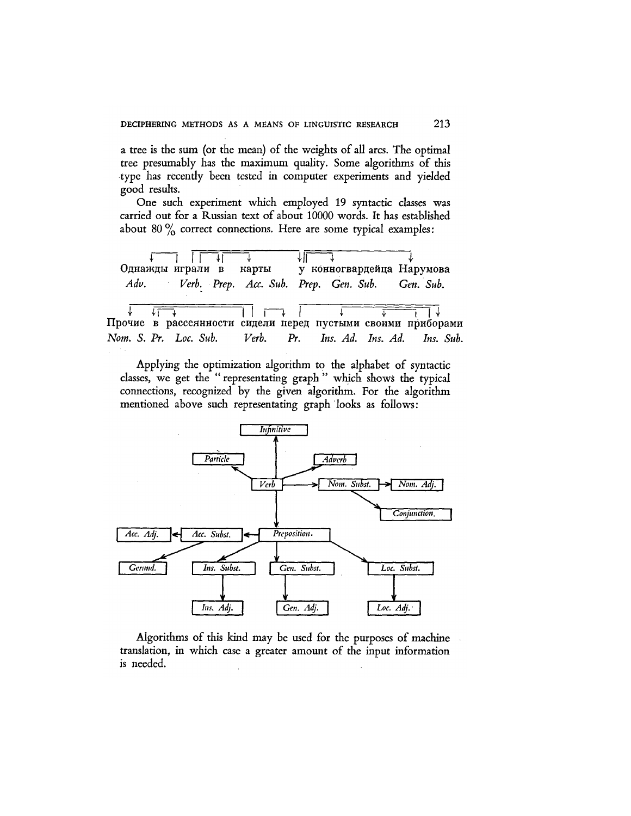a tree is the sum (or the mean) of the weights of all arcs. The optimal tree presumably has the maximum quality. Some algorithms of this type has recently been tested in computer experiments and yielded good results.

One such experiment which employed 19 syntactic classes was carried out for a Russian text of about 10000 words. It has established about 80  $\%$  correct connections. Here are some typical examples:

| $\downarrow$ $\uparrow$ $\uparrow$ $\uparrow$ $\uparrow$ $\uparrow$ $\uparrow$ $\uparrow$ $\uparrow$ $\uparrow$<br>Однажды играли в карты у конногвардейца Нарумова |  |  |  |
|---------------------------------------------------------------------------------------------------------------------------------------------------------------------|--|--|--|
| Adv. Verb. Prep. Acc. Sub. Prep. Gen. Sub. Gen. Sub.                                                                                                                |  |  |  |
|                                                                                                                                                                     |  |  |  |
| Прочие в рассеянности сидели перед пустыми своими приборами                                                                                                         |  |  |  |
| Nom. S. Pr. Loc. Sub. Verb. Pr. Ins. Ad. Ins. Ad. Ins. Sub.                                                                                                         |  |  |  |

Applying the optimization algorithm to the alphabet of syntactic classes, we get the "representating graph" which shows the typical connections, recognized by the given algorithm. For the algorithm mentioned above such representating graph looks as follows:



Algorithms of this kind may be used for the purposes of machine translation, in which case a greater amount of the input information is needed.